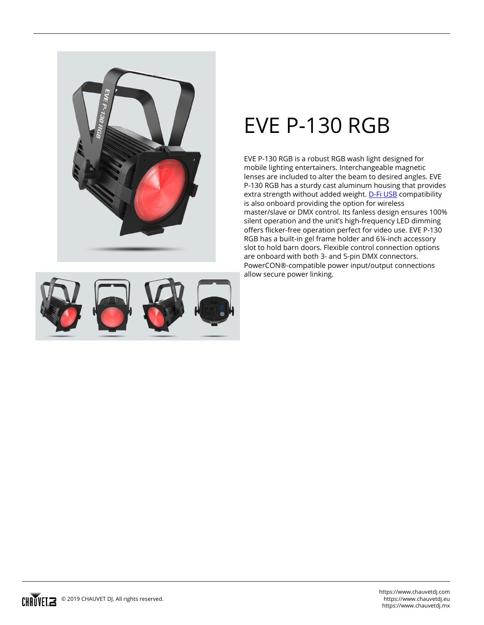

## **EVE P-130 RGB**

EVE P-130 RGB is a robust RGB wash light designed for mobile lighting entertainers. Interchangeable magnetic lenses are included to alter the beam to desired angles. EVE P-130 RGB has a sturdy cast aluminum housing that provides extra strength without added weight. [D-Fi USB](/products/d-fi-usb/) compatibility is also onboard providing the option for wireless master/slave or DMX control. Its fanless design ensures 100% silent operation and the unit's high-frequency LED dimming offers flicker-free operation perfect for video use. EVE P-130 RGB has a built-in gel frame holder and 6¼-inch accessory slot to hold barn doors. Flexible control connection options are onboard with both 3- and 5-pin DMX connectors. PowerCON®-compatible power input/output connections allow secure power linking.

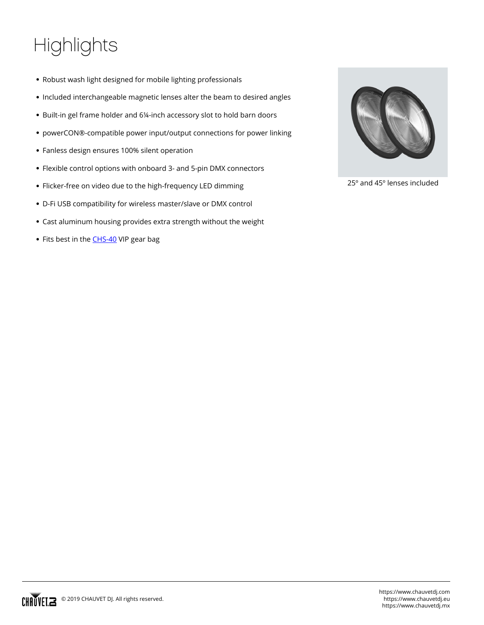## **Highlights**

- Robust wash light designed for mobile lighting professionals
- Included interchangeable magnetic lenses alter the beam to desired angles
- Built-in gel frame holder and 6¼-inch accessory slot to hold barn doors
- powerCON®-compatible power input/output connections for power linking
- Fanless design ensures 100% silent operation
- Flexible control options with onboard 3- and 5-pin DMX connectors
- Flicker-free on video due to the high-frequency LED dimming
- D-Fi USB compatibility for wireless master/slave or DMX control
- Cast aluminum housing provides extra strength without the weight
- Fits best in the **CHS-40** VIP gear bag



25º and 45º lenses included